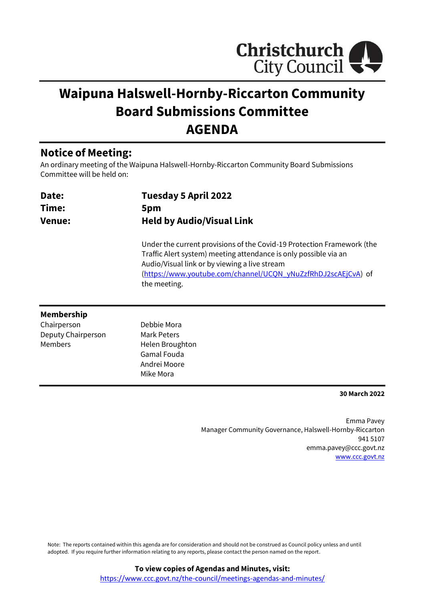

# **Waipuna Halswell-Hornby-Riccarton Community Board Submissions Committee AGENDA**

### **Notice of Meeting:**

An ordinary meeting of the Waipuna Halswell-Hornby-Riccarton Community Board Submissions Committee will be held on:

| Date:         | <b>Tuesday 5 April 2022</b>                                                                                                                                                                                                                                                  |  |
|---------------|------------------------------------------------------------------------------------------------------------------------------------------------------------------------------------------------------------------------------------------------------------------------------|--|
| Time:         | 5pm                                                                                                                                                                                                                                                                          |  |
| <b>Venue:</b> | <b>Held by Audio/Visual Link</b>                                                                                                                                                                                                                                             |  |
|               | Under the current provisions of the Covid-19 Protection Framework (the<br>Traffic Alert system) meeting attendance is only possible via an<br>Audio/Visual link or by viewing a live stream<br>(https://www.youtube.com/channel/UCON_vNuZzfRhDJ2scAEjCvA) of<br>the meeting. |  |
|               |                                                                                                                                                                                                                                                                              |  |

#### **Membership**

Chairperson Deputy Chairperson Members

Debbie Mora Mark Peters Helen Broughton Gamal Fouda Andrei Moore Mike Mora

#### **30 March 2022**

Emma Pavey Manager Community Governance, Halswell-Hornby-Riccarton 941 5107 emma.pavey@ccc.govt.nz [www.ccc.govt.nz](http://www.ccc.govt.nz/)

Note: The reports contained within this agenda are for consideration and should not be construed as Council policy unless and until adopted. If you require further information relating to any reports, please contact the person named on the report.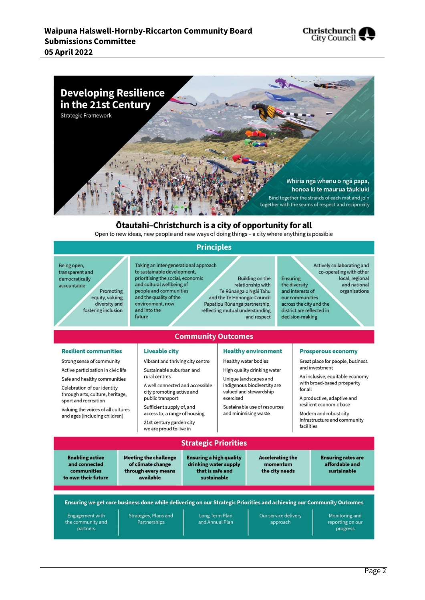



#### Otautahi-Christchurch is a city of opportunity for all

Open to new ideas, new people and new ways of doing things - a city where anything is possible

#### **Principles**

Being open, transparent and democratically accountable Promoting equity, valuing diversity and fostering inclusion

Taking an inter-generational approach to sustainable development, prioritising the social, economic and cultural wellbeing of people and communities and the quality of the environment, now and into the future

**Liveable city** 

rural centres

public transport

Vibrant and thriving city centre

A well connected and accessible

Sustainable suburban and

city promoting active and

Sufficient supply of, and

21st century garden city

we are proud to live in

access to, a range of housing

Building on the relationship with Te Rūnanga o Ngai Tahu and the Te Hononga-Council Papatipu Rūnanga partnership, reflecting mutual understanding and respect

Actively collaborating and co-operating with other Ensuring local, regional the diversity and national and interests of organisations our communities

across the city and the district are reflected in decision-making

#### **Community Outcomes**

#### **Resilient communities**

Strong sense of community

Active participation in civic life

Safe and healthy communities Celebration of our identity

through arts, culture, heritage, sport and recreation

Valuing the voices of all cultures and ages (including children)

#### **Healthy environment**

Healthy water bodies

High quality drinking water Unique landscapes and indigenous biodiversity are valued and stewardship exercised

Sustainable use of resources and minimising waste

#### **Prosperous economy**

Great place for people, business and investment

An inclusive, equitable economy with broad-based prosperity for all

A productive, adaptive and resilient economic base

Modern and robust city infrastructure and community facilities

#### **Strategic Priorities Enabling active Meeting the challenge Ensuring a high quality Accelerating the Ensuring rates are** affordable and and connected of climate change drinking water supply momentum through every means communities that is safe and the city needs sustainable to own their future available sustainable Ensuring we get core business done while delivering on our Strategic Priorities and achieving our Community Outcomes Strategies, Plans and Engagement with Long Term Plan Our service delivery Monitoring and the community and Partnerships and Annual Plan reporting on our approach partners progress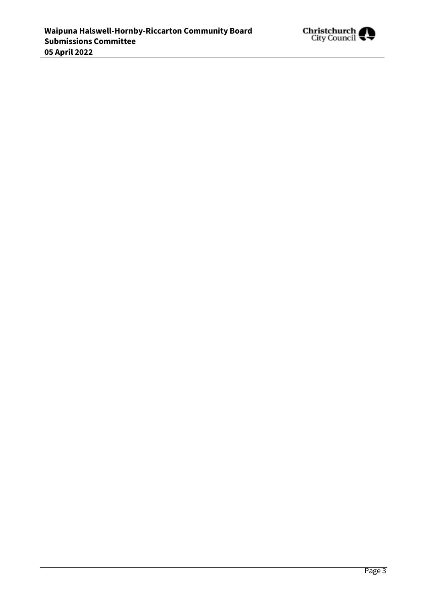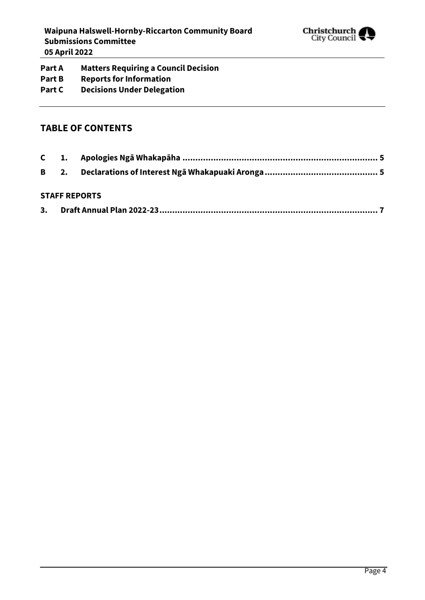

**Part A Matters Requiring a Council Decision Part B Reports for Information Part C Decisions Under Delegation**

#### **TABLE OF CONTENTS**

#### **STAFF REPORTS**

| 3. |  |
|----|--|
|    |  |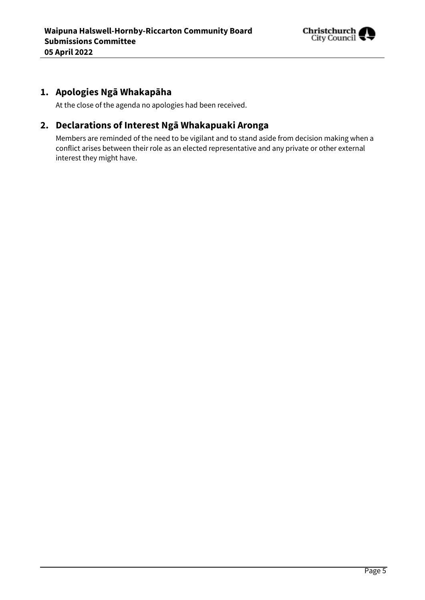

### <span id="page-4-0"></span>**1. Apologies Ngā Whakapāha**

At the close of the agenda no apologies had been received.

### <span id="page-4-1"></span>**2. Declarations of Interest Ngā Whakapuaki Aronga**

Members are reminded of the need to be vigilant and to stand aside from decision making when a conflict arises between their role as an elected representative and any private or other external interest they might have.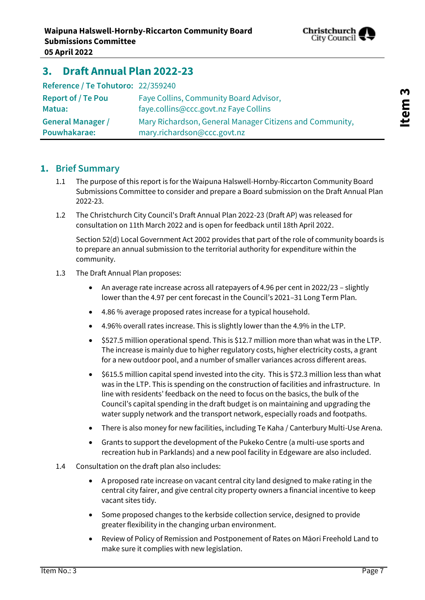

## <span id="page-6-0"></span>**3. Draft Annual Plan 2022-23**

| Reference / Te Tohutoro: 22/359240 |                                                          |
|------------------------------------|----------------------------------------------------------|
| <b>Report of / Te Pou</b>          | Faye Collins, Community Board Advisor,                   |
| Matua:                             | faye.collins@ccc.govt.nz Faye Collins                    |
| <b>General Manager /</b>           | Mary Richardson, General Manager Citizens and Community, |
| Pouwhakarae:                       | mary.richardson@ccc.govt.nz                              |

### **1. Brief Summary**

- 1.1 The purpose of this report is for the Waipuna Halswell-Hornby-Riccarton Community Board Submissions Committee to consider and prepare a Board submission on the Draft Annual Plan 2022-23.
- 1.2 The Christchurch City Council's Draft Annual Plan 2022-23 (Draft AP) was released for consultation on 11th March 2022 and is open for feedback until 18th April 2022.

Section 52(d) Local Government Act 2002 provides that part of the role of community boards is to prepare an annual submission to the territorial authority for expenditure within the community.

- 1.3 The Draft Annual Plan proposes:
	- An average rate increase across all ratepayers of 4.96 per cent in 2022/23 slightly lower than the 4.97 per cent forecast in the Council's 2021–31 Long Term Plan.
	- 4.86 % average proposed rates increase for a typical household.
	- 4.96% overall rates increase. This is slightly lower than the 4.9% in the LTP.
	- $\bullet$  \$527.5 million operational spend. This is \$12.7 million more than what was in the LTP. The increase is mainly due to higher regulatory costs, higher electricity costs, a grant for a new outdoor pool, and a number of smaller variances across different areas.
	- \$615.5 million capital spend invested into the city. This is \$72.3 million less than what was in the LTP. This is spending on the construction of facilities and infrastructure. In line with residents' feedback on the need to focus on the basics, the bulk of the Council's capital spending in the draft budget is on maintaining and upgrading the water supply network and the transport network, especially roads and footpaths.
	- There is also money for new facilities, including Te Kaha / Canterbury Multi-Use Arena.
	- Grants to support the development of the Pukeko Centre (a multi-use sports and recreation hub in Parklands) and a new pool facility in Edgeware are also included.
- 1.4 Consultation on the draft plan also includes:
	- A proposed rate increase on vacant central city land designed to make rating in the central city fairer, and give central city property owners a financial incentive to keep vacant sites tidy.
	- Some proposed changes to the kerbside collection service, designed to provide greater flexibility in the changing urban environment.
	- Review of Policy of Remission and Postponement of Rates on Māori Freehold Land to make sure it complies with new legislation.